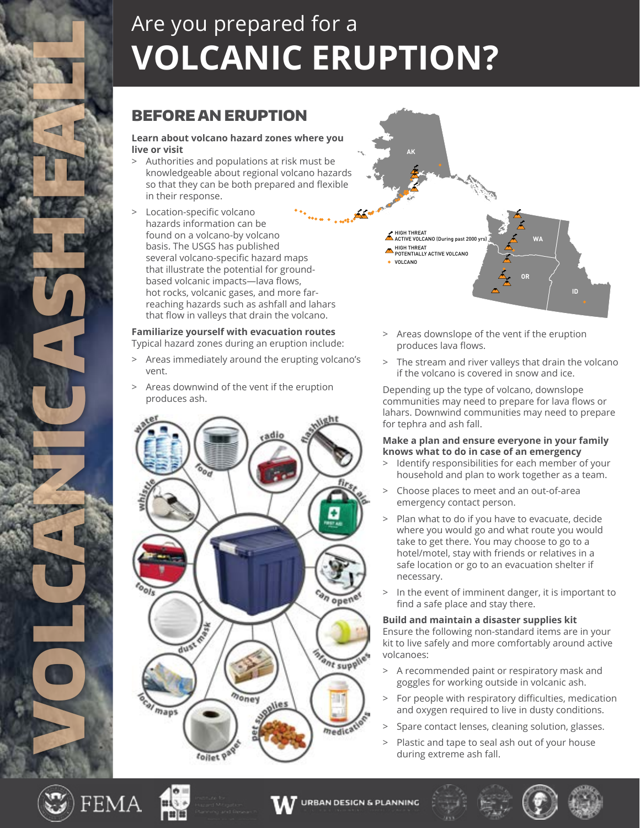# Are you prepared for a **VOLCANIC ERUPTION?**

## BEFORE AN ERUPTION

#### **Learn about volcano hazard zones where you live or visit**

- > Authorities and populations at risk must be knowledgeable about regional volcano hazards so that they can be both prepared and flexible in their response.
- Location-specific volcano hazards information can be found on a volcano-by volcano basis. The USGS has published several volcano-specific hazard maps that illustrate the potential for groundbased volcanic impacts—lava flows, hot rocks, volcanic gases, and more farreaching hazards such as ashfall and lahars that flow in valleys that drain the volcano.

### **Familiarize yourself with evacuation routes**

Typical hazard zones during an eruption include:

- > Areas immediately around the erupting volcano's vent.
- Areas downwind of the vent if the eruption produces ash.





- > Areas downslope of the vent if the eruption produces lava flows.
- > The stream and river valleys that drain the volcano if the volcano is covered in snow and ice.

Depending up the type of volcano, downslope communities may need to prepare for lava flows or lahars. Downwind communities may need to prepare for tephra and ash fall.

#### **Make a plan and ensure everyone in your family knows what to do in case of an emergency**

- Identify responsibilities for each member of your household and plan to work together as a team.
- > Choose places to meet and an out-of-area emergency contact person.
- Plan what to do if you have to evacuate, decide where you would go and what route you would take to get there. You may choose to go to a hotel/motel, stay with friends or relatives in a safe location or go to an evacuation shelter if necessary.
- > In the event of imminent danger, it is important to find a safe place and stay there.

### **Build and maintain a disaster supplies kit**

Ensure the following non-standard items are in your kit to live safely and more comfortably around active volcanoes:

- > A recommended paint or respiratory mask and goggles for working outside in volcanic ash.
- > For people with respiratory difficulties, medication and oxygen required to live in dusty conditions.
- Spare contact lenses, cleaning solution, glasses.
- > Plastic and tape to seal ash out of your house during extreme ash fall.



VOLCANICASH FAN 2